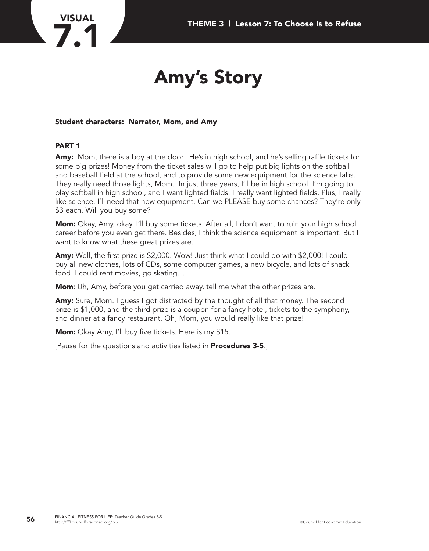# **VISUAL**

## **Amy's Story**

#### **Student characters: Narrator, Mom, and Amy**

#### **PART 1**

**Amy:** Mom, there is a boy at the door. He's in high school, and he's selling raffle tickets for some big prizes! Money from the ticket sales will go to help put big lights on the softball and baseball field at the school, and to provide some new equipment for the science labs. They really need those lights, Mom. In just three years, I'll be in high school. I'm going to play softball in high school, and I want lighted fields. I really want lighted fields. Plus, I really like science. I'll need that new equipment. Can we PLEASE buy some chances? They're only \$3 each. Will you buy some?

**Mom:** Okay, Amy, okay. I'll buy some tickets. After all, I don't want to ruin your high school career before you even get there. Besides, I think the science equipment is important. But I want to know what these great prizes are.

**Amy:** Well, the first prize is \$2,000. Wow! Just think what I could do with \$2,000! I could buy all new clothes, lots of CDs, some computer games, a new bicycle, and lots of snack food. I could rent movies, go skating….

**Mom**: Uh, Amy, before you get carried away, tell me what the other prizes are.

**Amy:** Sure, Mom. I guess I got distracted by the thought of all that money. The second prize is \$1,000, and the third prize is a coupon for a fancy hotel, tickets to the symphony, and dinner at a fancy restaurant. Oh, Mom, you would really like that prize!

**Mom:** Okay Amy, I'll buy five tickets. Here is my \$15.

[Pause for the questions and activities listed in **Procedures 3-5**.]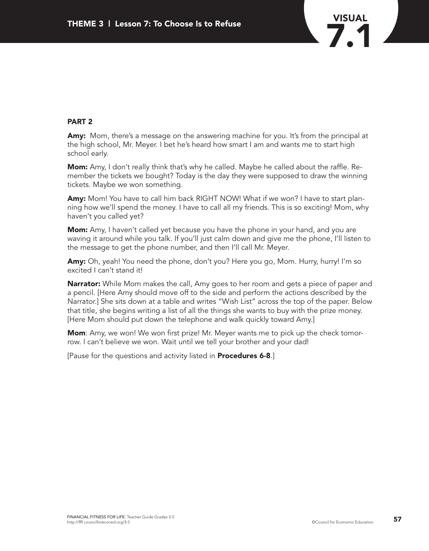

#### **PART 2**

**Amy:** Mom, there's a message on the answering machine for you. It's from the principal at the high school, Mr. Meyer. I bet he's heard how smart I am and wants me to start high school early.

**Mom:** Amy, I don't really think that's why he called. Maybe he called about the raffle. Remember the tickets we bought? Today is the day they were supposed to draw the winning tickets. Maybe we won something.

**Amy:** Mom! You have to call him back RIGHT NOW! What if we won? I have to start planning how we'll spend the money. I have to call all my friends. This is so exciting! Mom, why haven't you called yet?

**Mom:** Amy, I haven't called yet because you have the phone in your hand, and you are waving it around while you talk. If you'll just calm down and give me the phone, I'll listen to the message to get the phone number, and then I'll call Mr. Meyer.

**Amy:** Oh, yeah! You need the phone, don't you? Here you go, Mom. Hurry, hurry! I'm so excited I can't stand it!

**Narrator:** While Mom makes the call, Amy goes to her room and gets a piece of paper and a pencil. [Here Amy should move off to the side and perform the actions described by the Narrator.] She sits down at a table and writes "Wish List" across the top of the paper. Below that title, she begins writing a list of all the things she wants to buy with the prize money. [Here Mom should put down the telephone and walk quickly toward Amy.]

**Mom**: Amy, we won! We won first prize! Mr. Meyer wants me to pick up the check tomorrow. I can't believe we won. Wait until we tell your brother and your dad!

[Pause for the questions and activity listed in **Procedures 6-8**.]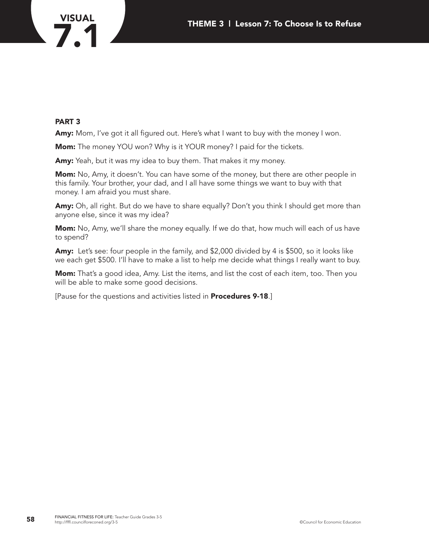

#### **PART 3**

Amy: Mom, I've got it all figured out. Here's what I want to buy with the money I won.

**Mom:** The money YOU won? Why is it YOUR money? I paid for the tickets.

**Amy:** Yeah, but it was my idea to buy them. That makes it my money.

**Mom:** No, Amy, it doesn't. You can have some of the money, but there are other people in this family. Your brother, your dad, and I all have some things we want to buy with that money. I am afraid you must share.

Amy: Oh, all right. But do we have to share equally? Don't you think I should get more than anyone else, since it was my idea?

**Mom:** No, Amy, we'll share the money equally. If we do that, how much will each of us have to spend?

**Amy:** Let's see: four people in the family, and \$2,000 divided by 4 is \$500, so it looks like we each get \$500. I'll have to make a list to help me decide what things I really want to buy.

**Mom:** That's a good idea, Amy. List the items, and list the cost of each item, too. Then you will be able to make some good decisions.

[Pause for the questions and activities listed in **Procedures 9-18**.]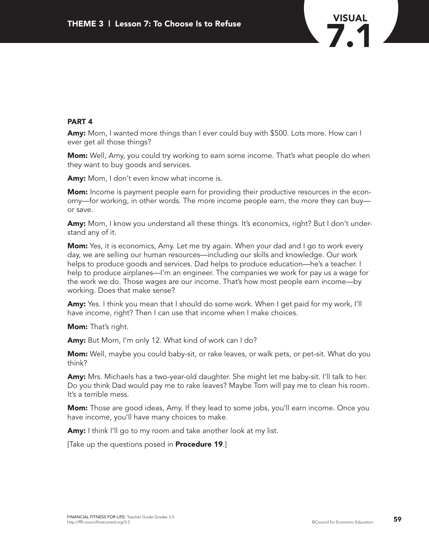

#### **PART 4**

**Amy:** Mom, I wanted more things than I ever could buy with \$500. Lots more. How can I ever get all those things?

**Mom:** Well, Amy, you could try working to earn some income. That's what people do when they want to buy goods and services.

**Amy:** Mom, I don't even know what income is.

**Mom:** Income is payment people earn for providing their productive resources in the economy—for working, in other words. The more income people earn, the more they can buy or save.

**Amy:** Mom, I know you understand all these things. It's economics, right? But I don't understand any of it.

**Mom:** Yes, it is economics, Amy. Let me try again. When your dad and I go to work every day, we are selling our human resources—including our skills and knowledge. Our work helps to produce goods and services. Dad helps to produce education—he's a teacher. I help to produce airplanes—I'm an engineer. The companies we work for pay us a wage for the work we do. Those wages are our income. That's how most people earn income—by working. Does that make sense?

**Amy:** Yes. I think you mean that I should do some work. When I get paid for my work, I'll have income, right? Then I can use that income when I make choices.

**Mom:** That's right.

**Amy:** But Mom, I'm only 12. What kind of work can I do?

**Mom:** Well, maybe you could baby-sit, or rake leaves, or walk pets, or pet-sit. What do you think?

**Amy:** Mrs. Michaels has a two-year-old daughter. She might let me baby-sit. I'll talk to her. Do you think Dad would pay me to rake leaves? Maybe Tom will pay me to clean his room. It's a terrible mess.

**Mom:** Those are good ideas, Amy. If they lead to some jobs, you'll earn income. Once you have income, you'll have many choices to make.

**Amy:** I think I'll go to my room and take another look at my list.

[Take up the questions posed in **Procedure 19**.]